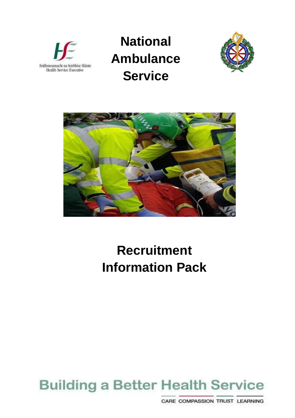

# **National Ambulance Service**





# **Recruitment Information Pack**

# **Building a Better Health Service**

CARE COMPASSION TRUST LEARNING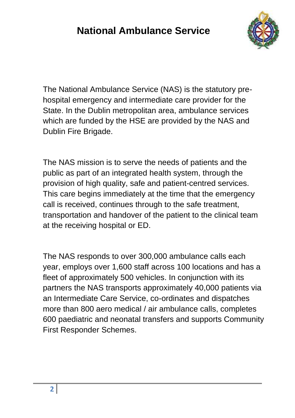## **National Ambulance Service**



The National Ambulance Service (NAS) is the statutory prehospital emergency and intermediate care provider for the State. In the Dublin metropolitan area, ambulance services which are funded by the HSE are provided by the NAS and Dublin Fire Brigade.

The NAS mission is to serve the needs of patients and the public as part of an integrated health system, through the provision of high quality, safe and patient-centred services. This care begins immediately at the time that the emergency call is received, continues through to the safe treatment, transportation and handover of the patient to the clinical team at the receiving hospital or ED.

The NAS responds to over 300,000 ambulance calls each year, employs over 1,600 staff across 100 locations and has a fleet of approximately 500 vehicles. In conjunction with its partners the NAS transports approximately 40,000 patients via an Intermediate Care Service, co-ordinates and dispatches more than 800 aero medical / air ambulance calls, completes 600 paediatric and neonatal transfers and supports Community First Responder Schemes.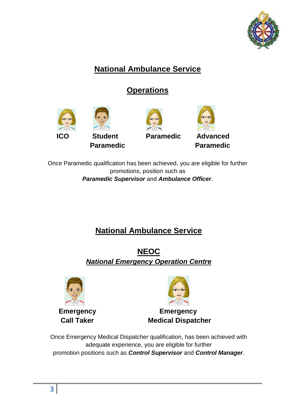

### **National Ambulance Service**

### **Operations**



Once Paramedic qualification has been achieved, you are eligible for further promotions, position such as *Paramedic Supervisor* and *Ambulance Officer*.

### **National Ambulance Service**

**NEOC** *National Emergency Operation Centre*





**Emergency Emergency Call Taker Medical Dispatcher** 

Once Emergency Medical Dispatcher qualification, has been achieved with adequate experience, you are eligible for further promotion positions such as *Control Supervisor* and *Control Manager*.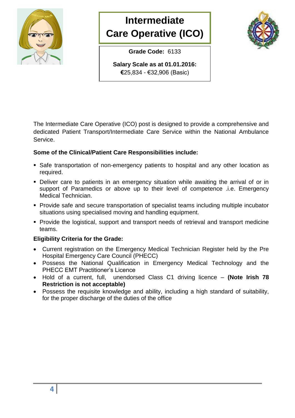

## **Intermediate Care Operative (ICO)**

**Grade Code:** 6133

**Salary Scale as at 01.01.2016: €**25,834 - €32,906 (Basic)

The Intermediate Care Operative (ICO) post is designed to provide a comprehensive and dedicated Patient Transport/Intermediate Care Service within the National Ambulance Service.

#### **Some of the Clinical/Patient Care Responsibilities include:**

- Safe transportation of non-emergency patients to hospital and any other location as required.
- Deliver care to patients in an emergency situation while awaiting the arrival of or in support of Paramedics or above up to their level of competence .i.e. Emergency Medical Technician.
- Provide safe and secure transportation of specialist teams including multiple incubator situations using specialised moving and handling equipment.
- **Provide the logistical, support and transport needs of retrieval and transport medicine** teams.

#### **Eligibility Criteria for the Grade:**

- Current registration on the Emergency Medical Technician Register held by the Pre Hospital Emergency Care Council (PHECC)
- Possess the National Qualification in Emergency Medical Technology and the PHECC EMT Practitioner's Licence
- Hold of a current, full, unendorsed Class C1 driving licence **(Note Irish 78 Restriction is not acceptable)**
- Possess the requisite knowledge and ability, including a high standard of suitability, for the proper discharge of the duties of the office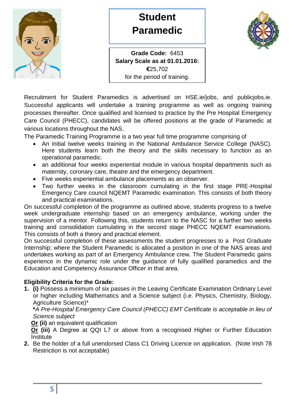

### **Student Paramedic**



**Grade Code:** 6453 **Salary Scale as at 01.01.2016: €**25,702 for the period of training.

Recruitment for Student Paramedics is advertised on HSE.ie/jobs, and publicjobs.ie. Successful applicants will undertake a training programme as well as ongoing training processes thereafter. Once qualified and licensed to practice by the Pre Hospital Emergency Care Council (PHECC), candidates will be offered positions at the grade of Paramedic at various locations throughout the NAS.

The Paramedic Training Programme is a two year full time programme comprising of

- An initial twelve weeks training in the National Ambulance Service College (NASC). Here students learn both the theory and the skills necessary to function as an operational paramedic.
- an additional four weeks experiential module in various hospital departments such as maternity, coronary care, theatre and the emergency department.
- Five weeks experiential ambulance placements as an observer.
- Two further weeks in the classroom cumulating in the first stage PRE-Hospital Emergency Care council NQEMT Paramedic examination. This consists of both theory and practical examinations.

On successful completion of the programme as outlined above, students progress to a twelve week undergraduate internship based on an emergency ambulance, working under the supervision of a mentor. Following this, students return to the NASC for a further two weeks training and consolidation cumulating in the second stage PHECC NQEMT examinations. This consists of both a theory and practical element.

On successful completion of these assessments the student progresses to a Post Graduate Internship; where the Student Paramedic is allocated a position in one of the NAS areas and undertakes working as part of an Emergency Ambulance crew. The Student Paramedic gains experience in the dynamic role under the guidance of fully qualified paramedics and the Education and Competency Assurance Officer in that area.

#### **Eligibility Criteria for the Grade:**

**1. (i)** Possess a minimum of six passes in the Leaving Certificate Examination Ordinary Level or higher including Mathematics and a Science subject (i.e. Physics, Chemistry, Biology, Agriculture Science)\*

**\****A Pre-Hospital Emergency Care Council (PHECC) EMT Certificate is acceptable in lieu of Science subject*

**Or (ii)** an equivalent qualification

**Or (iii)** A Degree at QQI L7 or above from a recognised Higher or Further Education **Institute** 

**2.** Be the holder of a full unendorsed Class C1 Driving Licence on application. (Note Irish 78 Restriction is not acceptable)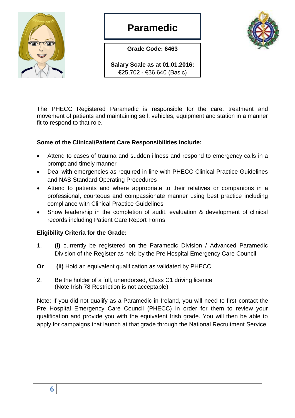

### **Paramedic**

**Grade Code: 6463**



**Salary Scale as at 01.01.2016: €**25,702 - €36,640 (Basic)

The PHECC Registered Paramedic is responsible for the care, treatment and movement of patients and maintaining self, vehicles, equipment and station in a manner fit to respond to that role.

#### **Some of the Clinical/Patient Care Responsibilities include:**

- Attend to cases of trauma and sudden illness and respond to emergency calls in a prompt and timely manner
- Deal with emergencies as required in line with PHECC Clinical Practice Guidelines and NAS Standard Operating Procedures
- Attend to patients and where appropriate to their relatives or companions in a professional, courteous and compassionate manner using best practice including compliance with Clinical Practice Guidelines
- Show leadership in the completion of audit, evaluation & development of clinical records including Patient Care Report Forms

#### **Eligibility Criteria for the Grade:**

- 1. **(i)** currently be registered on the Paramedic Division / Advanced Paramedic Division of the Register as held by the Pre Hospital Emergency Care Council
- **Or (ii)** Hold an equivalent qualification as validated by PHECC
- 2. Be the holder of a full, unendorsed, Class C1 driving licence (Note Irish 78 Restriction is not acceptable)

Note: If you did not qualify as a Paramedic in Ireland, you will need to first contact the Pre Hospital Emergency Care Council (PHECC) in order for them to review your qualification and provide you with the equivalent Irish grade. You will then be able to apply for campaigns that launch at that grade through the National Recruitment Service.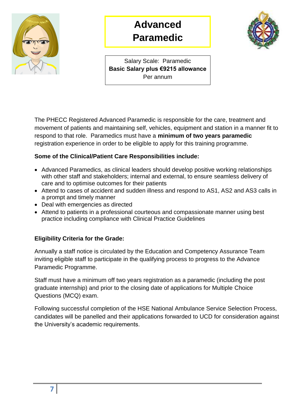

## **Advanced Paramedic**



Salary Scale: Paramedic **Basic Salary plus €9215 allowance** Per annum

The PHECC Registered Advanced Paramedic is responsible for the care, treatment and movement of patients and maintaining self, vehicles, equipment and station in a manner fit to respond to that role. Paramedics must have a **minimum of two years paramedic** registration experience in order to be eligible to apply for this training programme.

#### **Some of the Clinical/Patient Care Responsibilities include:**

- Advanced Paramedics, as clinical leaders should develop positive working relationships with other staff and stakeholders; internal and external, to ensure seamless delivery of care and to optimise outcomes for their patients
- Attend to cases of accident and sudden illness and respond to AS1, AS2 and AS3 calls in a prompt and timely manner
- Deal with emergencies as directed
- Attend to patients in a professional courteous and compassionate manner using best practice including compliance with Clinical Practice Guidelines

#### **Eligibility Criteria for the Grade:**

Annually a staff notice is circulated by the Education and Competency Assurance Team inviting eligible staff to participate in the qualifying process to progress to the Advance Paramedic Programme.

Staff must have a minimum off two years registration as a paramedic (including the post graduate internship) and prior to the closing date of applications for Multiple Choice Questions (MCQ) exam.

Following successful completion of the HSE National Ambulance Service Selection Process, candidates will be panelled and their applications forwarded to UCD for consideration against the University's academic requirements.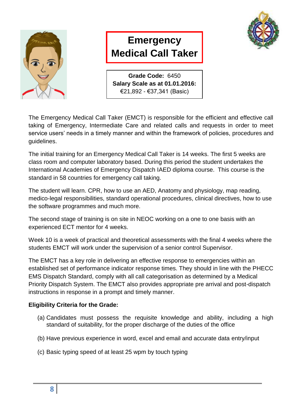

## **Emergency Medical Call Taker**



**Grade Code:** 6450 **Salary Scale as at 01.01.2016:**  €21,892 - €37,341 (Basic)

The Emergency Medical Call Taker (EMCT) is responsible for the efficient and effective call taking of Emergency, Intermediate Care and related calls and requests in order to meet service users' needs in a timely manner and within the framework of policies, procedures and guidelines.

The initial training for an Emergency Medical Call Taker is 14 weeks. The first 5 weeks are class room and computer laboratory based. During this period the student undertakes the International Academies of Emergency Dispatch IAED diploma course. This course is the standard in 58 countries for emergency call taking.

The student will learn. CPR, how to use an AED, Anatomy and physiology, map reading, medico-legal responsibilities, standard operational procedures, clinical directives, how to use the software programmes and much more.

The second stage of training is on site in NEOC working on a one to one basis with an experienced ECT mentor for 4 weeks.

Week 10 is a week of practical and theoretical assessments with the final 4 weeks where the students EMCT will work under the supervision of a senior control Supervisor.

The EMCT has a key role in delivering an effective response to emergencies within an established set of performance indicator response times. They should in line with the PHECC EMS Dispatch Standard, comply with all call categorisation as determined by a Medical Priority Dispatch System. The EMCT also provides appropriate pre arrival and post-dispatch instructions in response in a prompt and timely manner.

#### **Eligibility Criteria for the Grade:**

- (a) Candidates must possess the requisite knowledge and ability, including a high standard of suitability, for the proper discharge of the duties of the office
- (b) Have previous experience in word, excel and email and accurate data entry/input
- (c) Basic typing speed of at least 25 wpm by touch typing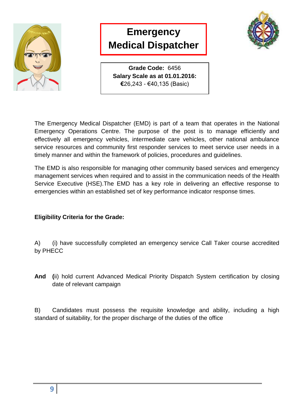

### **Emergency Medical Dispatcher**



**Grade Code:** 6456 **Salary Scale as at 01.01.2016: €**26,243 - €40,135 (Basic)

The Emergency Medical Dispatcher (EMD) is part of a team that operates in the National Emergency Operations Centre. The purpose of the post is to manage efficiently and effectively all emergency vehicles, intermediate care vehicles, other national ambulance service resources and community first responder services to meet service user needs in a timely manner and within the framework of policies, procedures and guidelines.

The EMD is also responsible for managing other community based services and emergency management services when required and to assist in the communication needs of the Health Service Executive (HSE).The EMD has a key role in delivering an effective response to emergencies within an established set of key performance indicator response times.

#### **Eligibility Criteria for the Grade:**

A) (i) have successfully completed an emergency service Call Taker course accredited by PHECC

**And (**ii) hold current Advanced Medical Priority Dispatch System certification by closing date of relevant campaign

B) Candidates must possess the requisite knowledge and ability, including a high standard of suitability, for the proper discharge of the duties of the office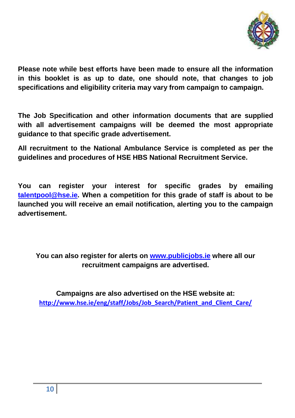

**Please note while best efforts have been made to ensure all the information in this booklet is as up to date, one should note, that changes to job specifications and eligibility criteria may vary from campaign to campaign.** 

**The Job Specification and other information documents that are supplied with all advertisement campaigns will be deemed the most appropriate guidance to that specific grade advertisement.**

**All recruitment to the National Ambulance Service is completed as per the guidelines and procedures of HSE HBS National Recruitment Service.** 

**You can register your interest for specific grades by emailing [talentpool@hse.ie.](mailto:talentpool@hse.ie) When a competition for this grade of staff is about to be launched you will receive an email notification, alerting you to the campaign advertisement.** 

#### **You can also register for alerts on [www.publicjobs.ie](http://www.publicjobs.ie/) where all our recruitment campaigns are advertised.**

**Campaigns are also advertised on the HSE website at: [http://www.hse.ie/eng/staff/Jobs/Job\\_Search/Patient\\_and\\_Client\\_Care/](http://www.hse.ie/eng/staff/Jobs/Job_Search/Patient_and_Client_Care/)**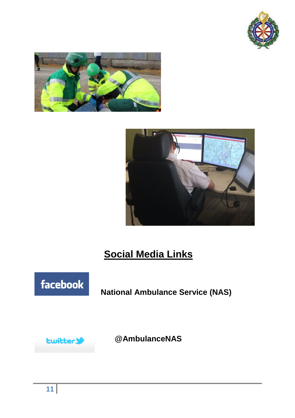





## **Social Media Links**



**National Ambulance Service (NAS)**



**@AmbulanceNAS**